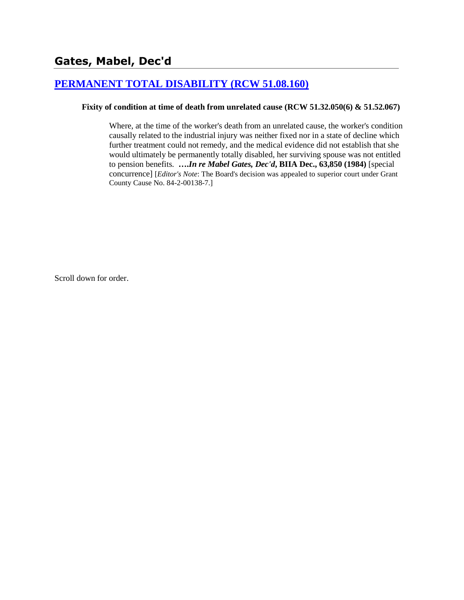### **[PERMANENT TOTAL DISABILITY \(RCW 51.08.160\)](http://www.biia.wa.gov/SDSubjectIndex.html#PERMANENT_TOTAL_DISABILITY)**

### **Fixity of condition at time of death from unrelated cause (RCW 51.32.050(6) & 51.52.067)**

Where, at the time of the worker's death from an unrelated cause, the worker's condition causally related to the industrial injury was neither fixed nor in a state of decline which further treatment could not remedy, and the medical evidence did not establish that she would ultimately be permanently totally disabled, her surviving spouse was not entitled to pension benefits. **….***In re Mabel Gates, Dec'd***, BIIA Dec., 63,850 (1984)** [special concurrence] [*Editor's Note*: The Board's decision was appealed to superior court under Grant County Cause No. 84-2-00138-7.]

Scroll down for order.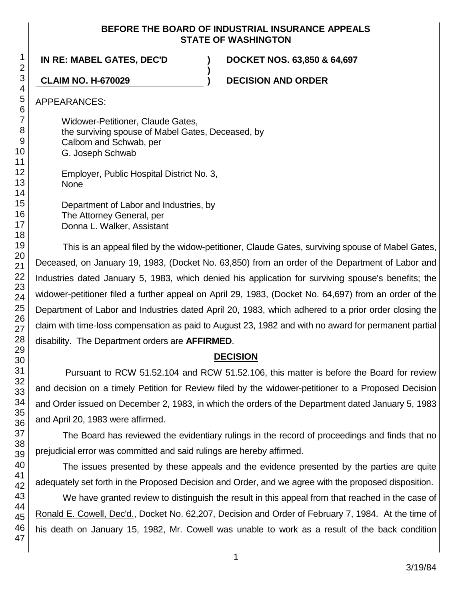### **BEFORE THE BOARD OF INDUSTRIAL INSURANCE APPEALS STATE OF WASHINGTON**

**)**

**IN RE: MABEL GATES, DEC'D ) DOCKET NOS. 63,850 & 64,697**

**CLAIM NO. H-670029 ) DECISION AND ORDER**

APPEARANCES:

Widower-Petitioner, Claude Gates, the surviving spouse of Mabel Gates, Deceased, by Calbom and Schwab, per G. Joseph Schwab Employer, Public Hospital District No. 3, None

Department of Labor and Industries, by The Attorney General, per Donna L. Walker, Assistant

This is an appeal filed by the widow-petitioner, Claude Gates, surviving spouse of Mabel Gates, Deceased, on January 19, 1983, (Docket No. 63,850) from an order of the Department of Labor and Industries dated January 5, 1983, which denied his application for surviving spouse's benefits; the widower-petitioner filed a further appeal on April 29, 1983, (Docket No. 64,697) from an order of the Department of Labor and Industries dated April 20, 1983, which adhered to a prior order closing the claim with time-loss compensation as paid to August 23, 1982 and with no award for permanent partial disability. The Department orders are **AFFIRMED**.

## **DECISION**

Pursuant to RCW 51.52.104 and RCW 51.52.106, this matter is before the Board for review and decision on a timely Petition for Review filed by the widower-petitioner to a Proposed Decision and Order issued on December 2, 1983, in which the orders of the Department dated January 5, 1983 and April 20, 1983 were affirmed.

The Board has reviewed the evidentiary rulings in the record of proceedings and finds that no prejudicial error was committed and said rulings are hereby affirmed.

The issues presented by these appeals and the evidence presented by the parties are quite adequately set forth in the Proposed Decision and Order, and we agree with the proposed disposition.

We have granted review to distinguish the result in this appeal from that reached in the case of Ronald E. Cowell, Dec'd., Docket No. 62,207, Decision and Order of February 7, 1984. At the time of his death on January 15, 1982, Mr. Cowell was unable to work as a result of the back condition

1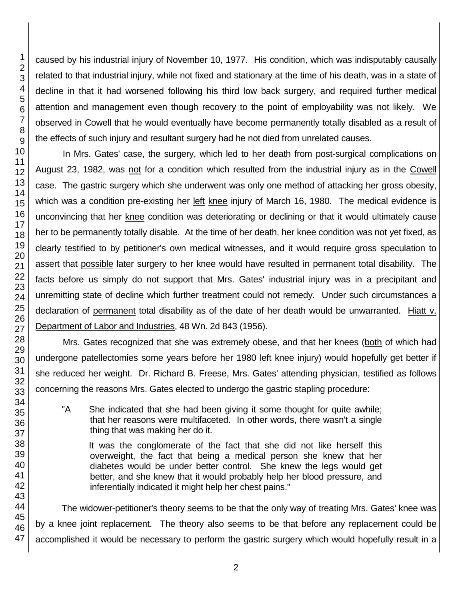2 3 4 5 6 7 8 9 10 11 12 13 14 15 16 17 18 19 20 21 caused by his industrial injury of November 10, 1977. His condition, which was indisputably causally related to that industrial injury, while not fixed and stationary at the time of his death, was in a state of decline in that it had worsened following his third low back surgery, and required further medical attention and management even though recovery to the point of employability was not likely. We observed in Cowell that he would eventually have become permanently totally disabled as a result of the effects of such injury and resultant surgery had he not died from unrelated causes. In Mrs. Gates' case, the surgery, which led to her death from post-surgical complications on August 23, 1982, was not for a condition which resulted from the industrial injury as in the Cowell case. The gastric surgery which she underwent was only one method of attacking her gross obesity, which was a condition pre-existing her left knee injury of March 16, 1980. The medical evidence is unconvincing that her knee condition was deteriorating or declining or that it would ultimately cause her to be permanently totally disable. At the time of her death, her knee condition was not yet fixed, as clearly testified to by petitioner's own medical witnesses, and it would require gross speculation to assert that possible later surgery to her knee would have resulted in permanent total disability. The

facts before us simply do not support that Mrs. Gates' industrial injury was in a precipitant and unremitting state of decline which further treatment could not remedy. Under such circumstances a declaration of permanent total disability as of the date of her death would be unwarranted. Hiatt v. Department of Labor and Industries, 48 Wn. 2d 843 (1956).

Mrs. Gates recognized that she was extremely obese, and that her knees (both of which had undergone patellectomies some years before her 1980 left knee injury) would hopefully get better if she reduced her weight. Dr. Richard B. Freese, Mrs. Gates' attending physician, testified as follows concerning the reasons Mrs. Gates elected to undergo the gastric stapling procedure:

"A She indicated that she had been giving it some thought for quite awhile; that her reasons were multifaceted. In other words, there wasn't a single thing that was making her do it.

It was the conglomerate of the fact that she did not like herself this overweight, the fact that being a medical person she knew that her diabetes would be under better control. She knew the legs would get better, and she knew that it would probably help her blood pressure, and inferentially indicated it might help her chest pains."

The widower-petitioner's theory seems to be that the only way of treating Mrs. Gates' knee was by a knee joint replacement. The theory also seems to be that before any replacement could be accomplished it would be necessary to perform the gastric surgery which would hopefully result in a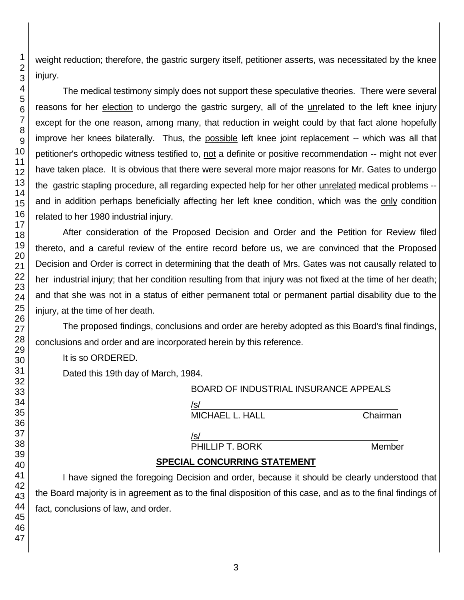weight reduction; therefore, the gastric surgery itself, petitioner asserts, was necessitated by the knee

The medical testimony simply does not support these speculative theories. There were several reasons for her election to undergo the gastric surgery, all of the unrelated to the left knee injury except for the one reason, among many, that reduction in weight could by that fact alone hopefully improve her knees bilaterally. Thus, the possible left knee joint replacement -- which was all that petitioner's orthopedic witness testified to, not a definite or positive recommendation -- might not ever have taken place. It is obvious that there were several more major reasons for Mr. Gates to undergo the gastric stapling procedure, all regarding expected help for her other unrelated medical problems - and in addition perhaps beneficially affecting her left knee condition, which was the only condition related to her 1980 industrial injury.

After consideration of the Proposed Decision and Order and the Petition for Review filed thereto, and a careful review of the entire record before us, we are convinced that the Proposed Decision and Order is correct in determining that the death of Mrs. Gates was not causally related to her industrial injury; that her condition resulting from that injury was not fixed at the time of her death; and that she was not in a status of either permanent total or permanent partial disability due to the injury, at the time of her death.

The proposed findings, conclusions and order are hereby adopted as this Board's final findings, conclusions and order and are incorporated herein by this reference.

It is so ORDERED.

Dated this 19th day of March, 1984.

| <b>BOARD OF INDUSTRIAL INSURANCE APPEALS</b> |          |
|----------------------------------------------|----------|
| /s/                                          |          |
| <b>MICHAEL L. HALL</b>                       | Chairman |
|                                              |          |
| /s/                                          |          |
| PHILLIP T. BORK                              | Member   |

# **SPECIAL CONCURRING STATEMENT**

I have signed the foregoing Decision and order, because it should be clearly understood that the Board majority is in agreement as to the final disposition of this case, and as to the final findings of fact, conclusions of law, and order.